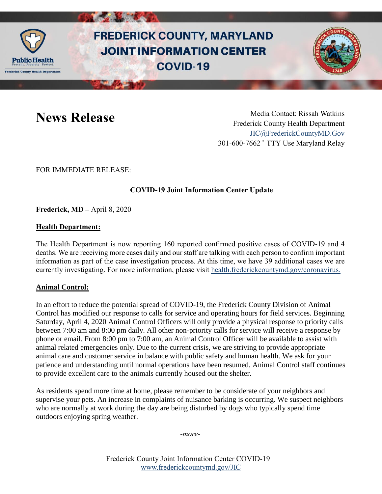

# **FREDERICK COUNTY, MARYLAND JOINT INFORMATION CENTER COVID-19**



**News Release** Media Contact: Rissah Watkins Frederick County Health Department [JIC@FrederickCountyMD.Gov](mailto:JIC@FrederickCountyMD.Gov) 301-600-7662 • TTY Use Maryland Relay

FOR IMMEDIATE RELEASE:

# **COVID-19 Joint Information Center Update**

**Frederick, MD –** April 8, 2020

### **Health Department:**

The Health Department is now reporting 160 reported confirmed positive cases of COVID-19 and 4 deaths. We are receiving more cases daily and our staff are talking with each person to confirm important information as part of the case investigation process. At this time, we have 39 additional cases we are currently investigating. For more information, please visit [health.frederickcountymd.gov/coronavirus.](https://health.frederickcountymd.gov/614/Novel-Coronavirus-COVID-19)

#### **Animal Control:**

In an effort to reduce the potential spread of COVID-19, the Frederick County Division of Animal Control has modified our response to calls for service and operating hours for field services. Beginning Saturday, April 4, 2020 Animal Control Officers will only provide a physical response to priority calls between 7:00 am and 8:00 pm daily. All other non-priority calls for service will receive a response by phone or email. From 8:00 pm to 7:00 am, an Animal Control Officer will be available to assist with animal related emergencies only. Due to the current crisis, we are striving to provide appropriate animal care and customer service in balance with public safety and human health. We ask for your patience and understanding until normal operations have been resumed. Animal Control staff continues to provide excellent care to the animals currently housed out the shelter.

As residents spend more time at home, please remember to be considerate of your neighbors and supervise your pets. An increase in complaints of nuisance barking is occurring. We suspect neighbors who are normally at work during the day are being disturbed by dogs who typically spend time outdoors enjoying spring weather.

*-more-*

Frederick County Joint Information Center COVID-19 [www.frederickcountymd.gov/JIC](https://frederickcountymd.gov/JIC)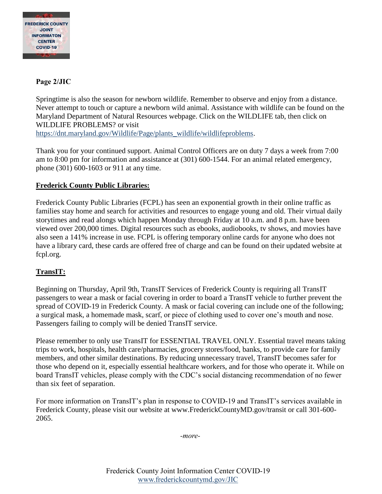

## **Page 2/JIC**

Springtime is also the season for newborn wildlife. Remember to observe and enjoy from a distance. Never attempt to touch or capture a newborn wild animal. Assistance with wildlife can be found on the Maryland Department of Natural Resources webpage. Click on the WILDLIFE tab, then click on WILDLIFE PROBLEMS? or visit [https://dnt.maryland.gov/Wildlife/Page/plants\\_wildlife/wildlifeproblems.](https://dnt.maryland.gov/Wildlife/Page/plants_wildlife/wildlifeproblems)

Thank you for your continued support. Animal Control Officers are on duty 7 days a week from 7:00 am to 8:00 pm for information and assistance at (301) 600-1544. For an animal related emergency, phone (301) 600-1603 or 911 at any time.

### **Frederick County Public Libraries:**

Frederick County Public Libraries (FCPL) has seen an exponential growth in their online traffic as families stay home and search for activities and resources to engage young and old. Their virtual daily storytimes and read alongs which happen Monday through Friday at 10 a.m. and 8 p.m. have been viewed over 200,000 times. Digital resources such as ebooks, audiobooks, tv shows, and movies have also seen a 141% increase in use. FCPL is offering temporary online cards for anyone who does not have a library card, these cards are offered free of charge and can be found on their updated website at fcpl.org.

# **TransIT:**

Beginning on Thursday, April 9th, TransIT Services of Frederick County is requiring all TransIT passengers to wear a mask or facial covering in order to board a TransIT vehicle to further prevent the spread of COVID-19 in Frederick County. A mask or facial covering can include one of the following; a surgical mask, a homemade mask, scarf, or piece of clothing used to cover one's mouth and nose. Passengers failing to comply will be denied TransIT service.

Please remember to only use TransIT for ESSENTIAL TRAVEL ONLY. Essential travel means taking trips to work, hospitals, health care/pharmacies, grocery stores/food, banks, to provide care for family members, and other similar destinations. By reducing unnecessary travel, TransIT becomes safer for those who depend on it, especially essential healthcare workers, and for those who operate it. While on board TransIT vehicles, please comply with the CDC's social distancing recommendation of no fewer than six feet of separation.

For more information on TransIT's plan in response to COVID-19 and TransIT's services available in Frederick County, please visit our website at www.FrederickCountyMD.gov/transit or call 301-600- 2065.

*-more-*